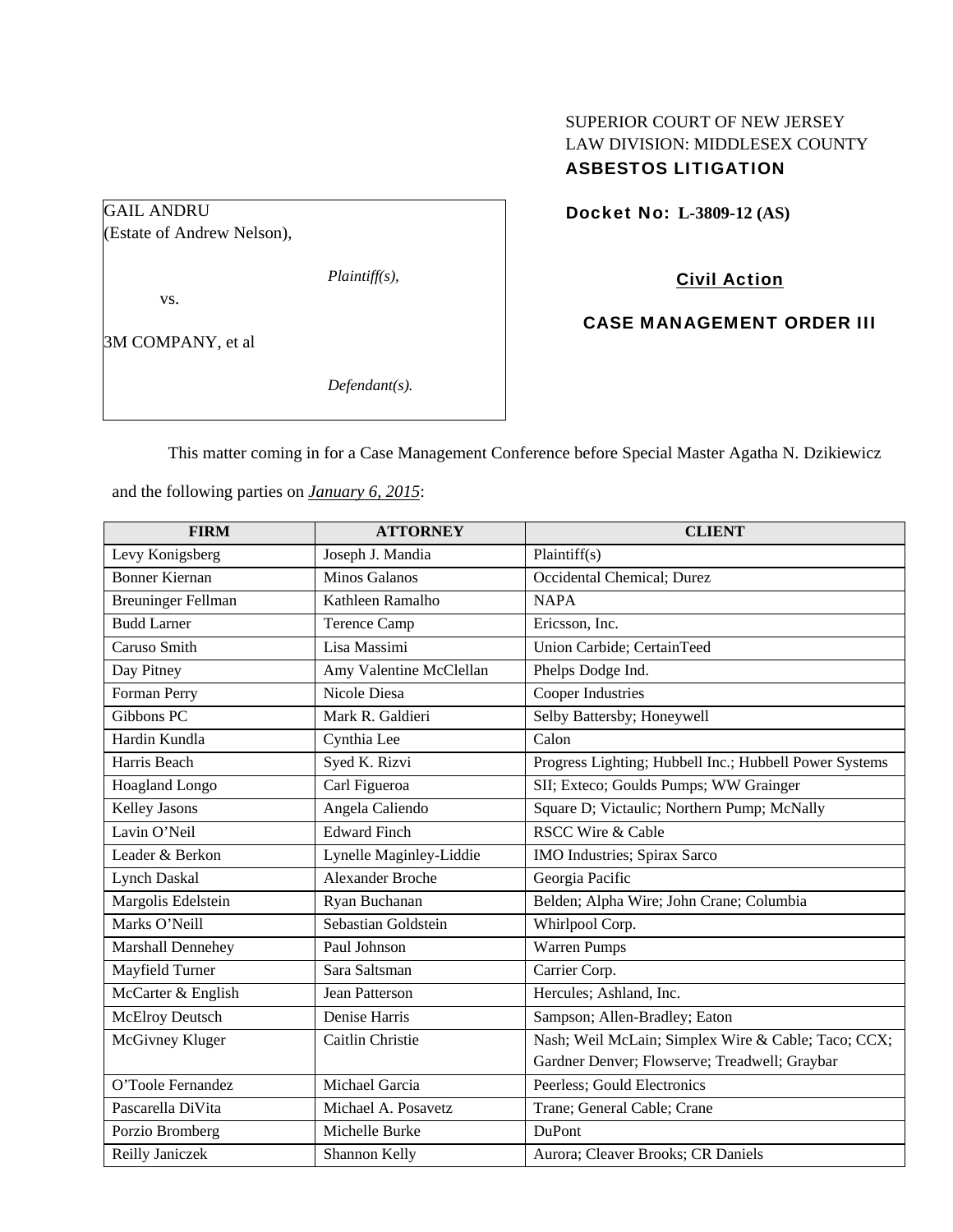# SUPERIOR COURT OF NEW JERSEY LAW DIVISION: MIDDLESEX COUNTY ASBESTOS LITIGATION

Docket No: **L-3809-12 (AS)** 

(Estate of Andrew Nelson),

*Plaintiff(s),* 

vs.

GAIL ANDRU

3M COMPANY, et al

*Defendant(s).* 

Civil Action

CASE MANAGEMENT ORDER III

This matter coming in for a Case Management Conference before Special Master Agatha N. Dzikiewicz

and the following parties on *January 6, 2015*:

| <b>FIRM</b>               | <b>ATTORNEY</b>         | <b>CLIENT</b>                                          |
|---------------------------|-------------------------|--------------------------------------------------------|
| Levy Konigsberg           | Joseph J. Mandia        | Plaintiff(s)                                           |
| <b>Bonner Kiernan</b>     | <b>Minos Galanos</b>    | Occidental Chemical; Durez                             |
| <b>Breuninger Fellman</b> | Kathleen Ramalho        | <b>NAPA</b>                                            |
| <b>Budd Larner</b>        | <b>Terence Camp</b>     | Ericsson, Inc.                                         |
| Caruso Smith              | Lisa Massimi            | Union Carbide; CertainTeed                             |
| Day Pitney                | Amy Valentine McClellan | Phelps Dodge Ind.                                      |
| Forman Perry              | Nicole Diesa            | Cooper Industries                                      |
| Gibbons PC                | Mark R. Galdieri        | Selby Battersby; Honeywell                             |
| Hardin Kundla             | Cynthia Lee             | Calon                                                  |
| Harris Beach              | Syed K. Rizvi           | Progress Lighting; Hubbell Inc.; Hubbell Power Systems |
| Hoagland Longo            | Carl Figueroa           | SII; Exteco; Goulds Pumps; WW Grainger                 |
| <b>Kelley Jasons</b>      | Angela Caliendo         | Square D; Victaulic; Northern Pump; McNally            |
| Lavin O'Neil              | <b>Edward Finch</b>     | <b>RSCC Wire &amp; Cable</b>                           |
| Leader & Berkon           | Lynelle Maginley-Liddie | IMO Industries; Spirax Sarco                           |
| <b>Lynch Daskal</b>       | <b>Alexander Broche</b> | Georgia Pacific                                        |
| Margolis Edelstein        | Ryan Buchanan           | Belden; Alpha Wire; John Crane; Columbia               |
| Marks O'Neill             | Sebastian Goldstein     | Whirlpool Corp.                                        |
| Marshall Dennehey         | Paul Johnson            | <b>Warren Pumps</b>                                    |
| Mayfield Turner           | Sara Saltsman           | Carrier Corp.                                          |
| McCarter & English        | Jean Patterson          | Hercules; Ashland, Inc.                                |
| <b>McElroy Deutsch</b>    | Denise Harris           | Sampson; Allen-Bradley; Eaton                          |
| McGivney Kluger           | Caitlin Christie        | Nash; Weil McLain; Simplex Wire & Cable; Taco; CCX;    |
|                           |                         | Gardner Denver; Flowserve; Treadwell; Graybar          |
| O'Toole Fernandez         | Michael Garcia          | Peerless; Gould Electronics                            |
| Pascarella DiVita         | Michael A. Posavetz     | Trane; General Cable; Crane                            |
| Porzio Bromberg           | Michelle Burke          | DuPont                                                 |
| Reilly Janiczek           | Shannon Kelly           | Aurora; Cleaver Brooks; CR Daniels                     |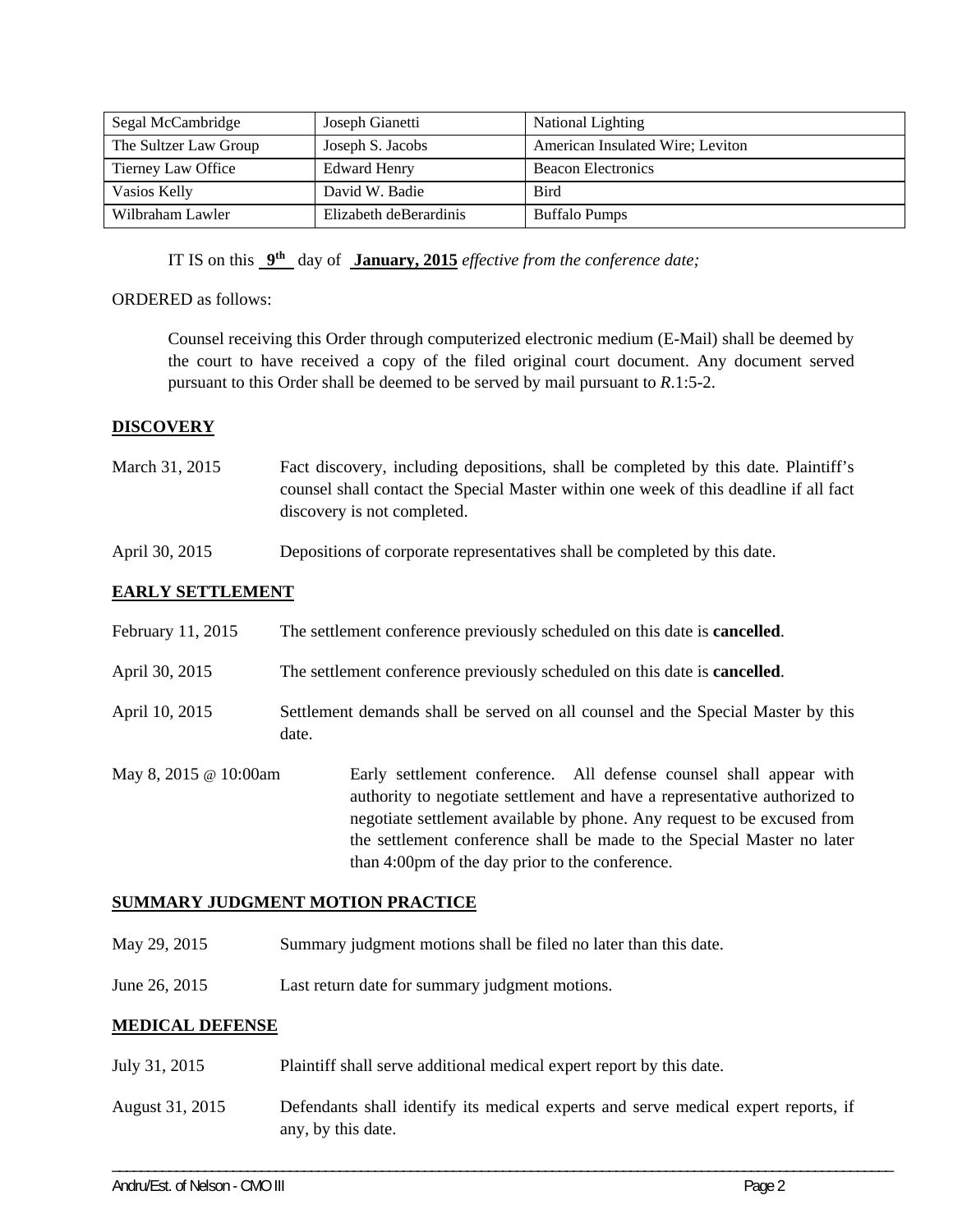| Segal McCambridge     | Joseph Gianetti        | <b>National Lighting</b>         |
|-----------------------|------------------------|----------------------------------|
| The Sultzer Law Group | Joseph S. Jacobs       | American Insulated Wire; Leviton |
| Tierney Law Office    | <b>Edward Henry</b>    | <b>Beacon Electronics</b>        |
| Vasios Kelly          | David W. Badie         | <b>Bird</b>                      |
| Wilbraham Lawler      | Elizabeth deBerardinis | <b>Buffalo Pumps</b>             |

IT IS on this **9th** day of **January, 2015** *effective from the conference date;*

## ORDERED as follows:

Counsel receiving this Order through computerized electronic medium (E-Mail) shall be deemed by the court to have received a copy of the filed original court document. Any document served pursuant to this Order shall be deemed to be served by mail pursuant to *R*.1:5-2.

## **DISCOVERY**

- March 31, 2015 Fact discovery, including depositions, shall be completed by this date. Plaintiff's counsel shall contact the Special Master within one week of this deadline if all fact discovery is not completed.
- April 30, 2015 Depositions of corporate representatives shall be completed by this date.

## **EARLY SETTLEMENT**

| February 11, 2015            | The settlement conference previously scheduled on this date is <b>cancelled</b> .                                                                                                                                                                                                                                                                       |  |  |
|------------------------------|---------------------------------------------------------------------------------------------------------------------------------------------------------------------------------------------------------------------------------------------------------------------------------------------------------------------------------------------------------|--|--|
| April 30, 2015               | The settlement conference previously scheduled on this date is <b>cancelled</b> .                                                                                                                                                                                                                                                                       |  |  |
| April 10, 2015               | Settlement demands shall be served on all counsel and the Special Master by this<br>date.                                                                                                                                                                                                                                                               |  |  |
| May 8, 2015 $\omega$ 10:00am | Early settlement conference. All defense counsel shall appear with<br>authority to negotiate settlement and have a representative authorized to<br>negotiate settlement available by phone. Any request to be excused from<br>the settlement conference shall be made to the Special Master no later<br>than 4:00pm of the day prior to the conference. |  |  |

### **SUMMARY JUDGMENT MOTION PRACTICE**

- May 29, 2015 Summary judgment motions shall be filed no later than this date.
- June 26, 2015 Last return date for summary judgment motions.

### **MEDICAL DEFENSE**

- July 31, 2015 Plaintiff shall serve additional medical expert report by this date.
- August 31, 2015 Defendants shall identify its medical experts and serve medical expert reports, if any, by this date.

\_\_\_\_\_\_\_\_\_\_\_\_\_\_\_\_\_\_\_\_\_\_\_\_\_\_\_\_\_\_\_\_\_\_\_\_\_\_\_\_\_\_\_\_\_\_\_\_\_\_\_\_\_\_\_\_\_\_\_\_\_\_\_\_\_\_\_\_\_\_\_\_\_\_\_\_\_\_\_\_\_\_\_\_\_\_\_\_\_\_\_\_\_\_\_\_\_\_\_\_\_\_\_\_\_\_\_\_\_\_